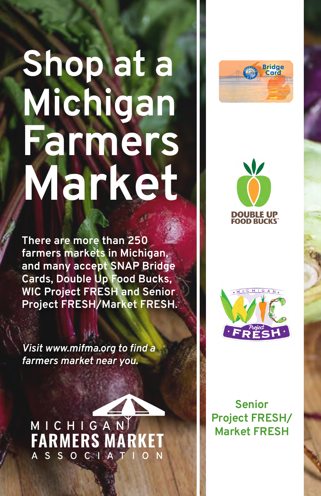## **Shop at a Michigan Farmers Market**

**There are more than 250 farmers markets in Michigan, and many accept SNAP Bridge Cards, Double Up Food Bucks, WIC Project FRESH and Senior Project FRESH/Market FRESH.** 

*Visit www.mifma.org to find a farmers market near you.*

**FARMERS MA MICHIGA N A SSOCI A TION**







**Senior Project FRESH/ Market FRESH**